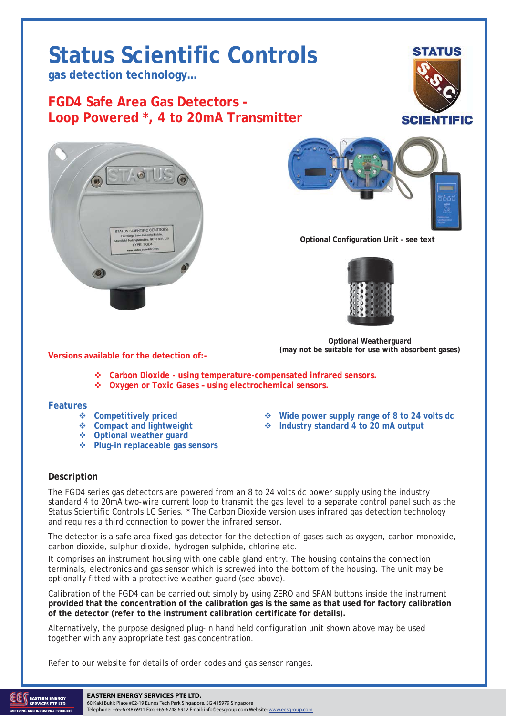## **Status Scientific Controls**

**gas detection technology…** 

**FGD4 Safe Area Gas Detectors - Loop Powered \*, 4 to 20mA Transmitter** 







**Optional Configuration Unit – see text** 



**Optional Weatherguard (may not be suitable for use with absorbent gases)** 

**Versions available for the detection of:-** 

- **Carbon Dioxide using temperature-compensated infrared sensors.**
- **Oxygen or Toxic Gases using electrochemical sensors.**

## **Features**

- 
- 
- **Optional weather guard**
- **Plug-in replaceable gas sensors**
- **Competitively priced Wide power supply range of 8 to 24 volts dc**
- **Compact and lightweight Industry standard 4 to 20 mA output**

## **Description**

The FGD4 series gas detectors are powered from an 8 to 24 volts dc power supply using the industry standard 4 to 20mA two-wire current loop to transmit the gas level to a separate control panel such as the Status Scientific Controls LC Series. \* The Carbon Dioxide version uses infrared gas detection technology and requires a third connection to power the infrared sensor.

The detector is a safe area fixed gas detector for the detection of gases such as oxygen, carbon monoxide, carbon dioxide, sulphur dioxide, hydrogen sulphide, chlorine etc.

It comprises an instrument housing with one cable gland entry. The housing contains the connection terminals, electronics and gas sensor which is screwed into the bottom of the housing. The unit may be optionally fitted with a protective weather guard (see above).

Calibration of the FGD4 can be carried out simply by using ZERO and SPAN buttons inside the instrument **provided that the concentration of the calibration gas is the same as that used for factory calibration of the detector (refer to the instrument calibration certificate for details).**

Alternatively, the purpose designed plug-in hand held configuration unit shown above may be used together with any appropriate test gas concentration.

Refer to our website for details of order codes and gas sensor ranges.